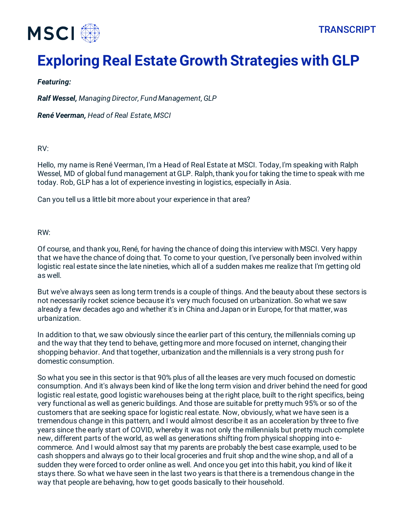# **Exploring Real Estate Growth Strategies with GLP**

# *Featuring:*

*Ralf Wessel, Managing Director, Fund Management, GLP*

*René Veerman, Head of Real Estate, MSCI*

RV:

Hello, my name is René Veerman, I'm a Head of Real Estate at MSCI. Today, I'm speaking with Ralph Wessel, MD of global fund management at GLP. Ralph, thank you for taking the time to speak with me today. Rob, GLP has a lot of experience investing in logistics, especially in Asia.

Can you tell us a little bit more about your experience in that area?

RW:

Of course, and thank you, René, for having the chance of doing this interview with MSCI. Very happy that we have the chance of doing that. To come to your question, I've personally been involved within logistic real estate since the late nineties, which all of a sudden makes me realize that I'm getting old as well.

But we've always seen as long term trends is a couple of things. And the beauty about these sectors is not necessarily rocket science because it's very much focused on urbanization. So what we saw already a few decades ago and whether it's in China and Japan or in Europe, for that matter, was urbanization.

In addition to that, we saw obviously since the earlier part of this century, the millennials coming up and the way that they tend to behave, getting more and more focused on internet, changing their shopping behavior. And that together, urbanization and the millennials is a very strong push for domestic consumption.

So what you see in this sector is that 90% plus of all the leases are very much focused on domestic consumption. And it's always been kind of like the long term vision and driver behind the need for good logistic real estate, good logistic warehouses being at the right place, built to the right specifics, being very functional as well as generic buildings. And those are suitable for pretty much 95% or so of the customers that are seeking space for logistic real estate. Now, obviously, what we have seen is a tremendous change in this pattern, and I would almost describe it as an acceleration by three to five years since the early start of COVID, whereby it was not only the millennials but pretty much complete new, different parts of the world, as well as generations shifting from physical shopping into ecommerce. And I would almost say that my parents are probably the best case example, used to be cash shoppers and always go to their local groceries and fruit shop and the wine shop, and all of a sudden they were forced to order online as well. And once you get into this habit, you kind of like it stays there. So what we have seen in the last two years is that there is a tremendous change in the way that people are behaving, how to get goods basically to their household.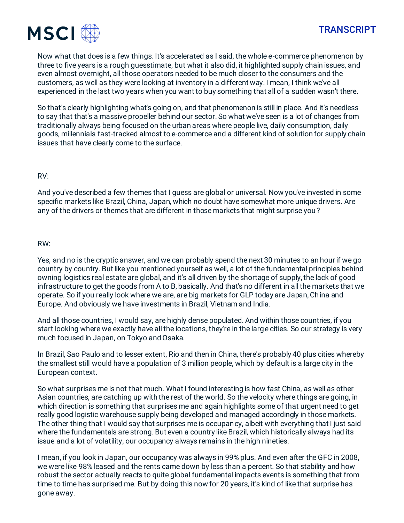



Now what that does is a few things. It's accelerated as I said, the whole e-commerce phenomenon by three to five years is a rough guesstimate, but what it also did, it highlighted supply chain issues, and even almost overnight, all those operators needed to be much closer to the consumers and the customers, as well as they were looking at inventory in a different way. I mean, I think we've all experienced in the last two years when you want to buy something that all of a sudden wasn't there.

So that's clearly highlighting what's going on, and that phenomenon is still in place. And it's needless to say that that's a massive propeller behind our sector. So what we've seen is a lot of changes from traditionally always being focused on the urban areas where people live, daily consumption, daily goods, millennials fast-tracked almost to e-commerce and a different kind of solution for supply chain issues that have clearly come to the surface.

### RV:

And you've described a few themes that I guess are global or universal. Now you've invested in some specific markets like Brazil, China, Japan, which no doubt have somewhat more unique drivers. Are any of the drivers or themes that are different in those markets that might surprise you?

#### RW:

Yes, and no is the cryptic answer, and we can probably spend the next 30 minutes to an hour if we go country by country. But like you mentioned yourself as well, a lot of the fundamental principles behind owning logistics real estate are global, and it's all driven by the shortage of supply, the lack of good infrastructure to get the goods from A to B, basically. And that's no different in all the markets that we operate. So if you really look where we are, are big markets for GLP today are Japan, China and Europe. And obviously we have investments in Brazil, Vietnam and India.

And all those countries, I would say, are highly dense populated. And within those countries, if you start looking where we exactly have all the locations, they're in the large cities. So our strategy is very much focused in Japan, on Tokyo and Osaka.

In Brazil, Sao Paulo and to lesser extent, Rio and then in China, there's probably 40 plus cities whereby the smallest still would have a population of 3 million people, which by default is a large city in the European context.

So what surprises me is not that much. What I found interesting is how fast China, as well as other Asian countries, are catching up with the rest of the world. So the velocity where things are going, in which direction is something that surprises me and again highlights some of that urgent need to get really good logistic warehouse supply being developed and managed accordingly in those markets. The other thing that I would say that surprises me is occupancy, albeit with everything that I just said where the fundamentals are strong. But even a country like Brazil, which historically always had its issue and a lot of volatility, our occupancy always remains in the high nineties.

I mean, if you look in Japan, our occupancy was always in 99% plus. And even after the GFC in 2008, we were like 98% leased and the rents came down by less than a percent. So that stability and how robust the sector actually reacts to quite global fundamental impacts events is something that from time to time has surprised me. But by doing this now for 20 years, it's kind of like that surprise has gone away.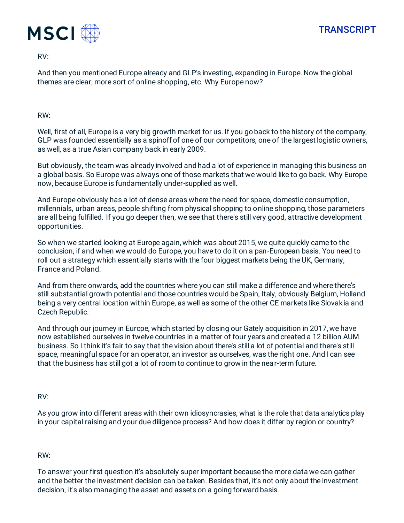

RV:

And then you mentioned Europe already and GLP's investing, expanding in Europe. Now the global themes are clear, more sort of online shopping, etc. Why Europe now?

RW:

Well, first of all, Europe is a very big growth market for us. If you go back to the history of the company, GLP was founded essentially as a spinoff of one of our competitors, one of the largest logistic owners, as well, as a true Asian company back in early 2009.

But obviously, the team was already involved and had a lot of experience in managing this business on a global basis. So Europe was always one of those markets that we would like to go back. Why Europe now, because Europe is fundamentally under-supplied as well.

And Europe obviously has a lot of dense areas where the need for space, domestic consumption, millennials, urban areas, people shifting from physical shopping to online shopping, those parameters are all being fulfilled. If you go deeper then, we see that there's still very good, attractive development opportunities.

So when we started looking at Europe again, which was about 2015, we quite quickly came to the conclusion, if and when we would do Europe, you have to do it on a pan-European basis. You need to roll out a strategy which essentially starts with the four biggest markets being the UK, Germany, France and Poland.

And from there onwards, add the countries where you can still make a difference and where there's still substantial growth potential and those countries would be Spain, Italy, obviously Belgium, Holland being a very central location within Europe, as well as some of the other CE markets like Slovakia and Czech Republic.

And through our journey in Europe, which started by closing our Gately acquisition in 2017, we have now established ourselves in twelve countries in a matter of four years and created a 12 billion AUM business. So I think it's fair to say that the vision about there's still a lot of potential and there's still space, meaningful space for an operator, an investor as ourselves, was the right one. And I can see that the business has still got a lot of room to continue to grow in the near-term future.

RV:

As you grow into different areas with their own idiosyncrasies, what is the role that data analytics play in your capital raising and your due diligence process? And how does it differ by region or country?

RW:

To answer your first question it's absolutely super important because the more data we can gather and the better the investment decision can be taken. Besides that, it's not only about the investment decision, it's also managing the asset and assets on a going forward basis.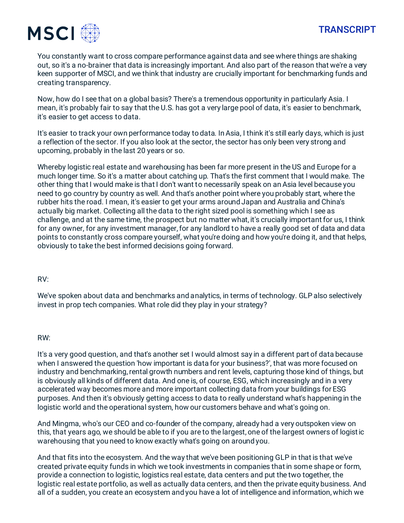



You constantly want to cross compare performance against data and see where things are shaking out, so it's a no-brainer that data is increasingly important. And also part of the reason that we're a very keen supporter of MSCI, and we think that industry are crucially important for benchmarking funds and creating transparency.

Now, how do I see that on a global basis? There's a tremendous opportunity in particularly Asia. I mean, it's probably fair to say that the U.S. has got a very large pool of data, it's easier to benchmark, it's easier to get access to data.

It's easier to track your own performance today to data. In Asia, I think it's still early days, which is just a reflection of the sector. If you also look at the sector, the sector has only been very strong and upcoming, probably in the last 20 years or so.

Whereby logistic real estate and warehousing has been far more present in the US and Europe for a much longer time. So it's a matter about catching up. That's the first comment that I would make. The other thing that I would make is that I don't want to necessarily speak on an Asia level because you need to go country by country as well. And that's another point where you probably start, where the rubber hits the road. I mean, it's easier to get your arms around Japan and Australia and China's actually big market. Collecting all the data to the right sized pool is something which I see as challenge, and at the same time, the prospect but no matter what, it's crucially important for us, I think for any owner, for any investment manager, for any landlord to have a really good set of data and data points to constantly cross compare yourself, what you're doing and how you're doing it, and that helps, obviously to take the best informed decisions going forward.

## RV:

We've spoken about data and benchmarks and analytics, in terms of technology. GLP also selectively invest in prop tech companies. What role did they play in your strategy?

#### RW:

It's a very good question, and that's another set I would almost say in a different part of data because when I answered the question 'how important is data for your business?', that was more focused on industry and benchmarking, rental growth numbers and rent levels, capturing those kind of things, but is obviously all kinds of different data. And one is, of course, ESG, which increasingly and in a very accelerated way becomes more and more important collecting data from your buildings for ESG purposes. And then it's obviously getting access to data to really understand what's happening in the logistic world and the operational system, how our customers behave and what's going on.

And Mingma, who's our CEO and co-founder of the company, already had a very outspoken view on this, that years ago, we should be able to if you are to the largest, one of the largest owners of logistic warehousing that you need to know exactly what's going on around you.

And that fits into the ecosystem. And the way that we've been positioning GLP in that is that we've created private equity funds in which we took investments in companies that in some shape or form, provide a connection to logistic, logistics real estate, data centers and put the two together, the logistic real estate portfolio, as well as actually data centers, and then the private equity business. And all of a sudden, you create an ecosystem and you have a lot of intelligence and information, which we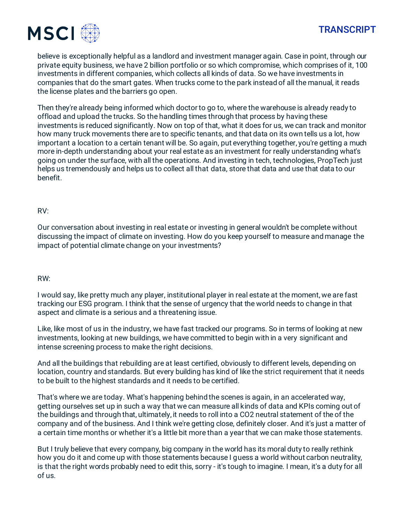

believe is exceptionally helpful as a landlord and investment manager again. Case in point, through our private equity business, we have 2 billion portfolio or so which compromise, which comprises of it, 100 investments in different companies, which collects all kinds of data. So we have investments in companies that do the smart gates. When trucks come to the park instead of all the manual, it reads the license plates and the barriers go open.

Then they're already being informed which doctor to go to, where the warehouse is already ready to offload and upload the trucks. So the handling times through that process by having these investments is reduced significantly. Now on top of that, what it does for us, we can track and monitor how many truck movements there are to specific tenants, and that data on its own tells us a lot, how important a location to a certain tenant will be. So again, put everything together, you're getting a much more in-depth understanding about your real estate as an investment for really understanding what's going on under the surface, with all the operations. And investing in tech, technologies, PropTech just helps us tremendously and helps us to collect all that data, store that data and use that data to our benefit.

## RV:

Our conversation about investing in real estate or investing in general wouldn't be complete without discussing the impact of climate on investing. How do you keep yourself to measure and manage the impact of potential climate change on your investments?

#### RW:

I would say, like pretty much any player, institutional player in real estate at the moment, we are fast tracking our ESG program. I think that the sense of urgency that the world needs to change in that aspect and climate is a serious and a threatening issue.

Like, like most of us in the industry, we have fast tracked our programs. So in terms of looking at new investments, looking at new buildings, we have committed to begin with in a very significant and intense screening process to make the right decisions.

And all the buildings that rebuilding are at least certified, obviously to different levels, depending on location, country and standards. But every building has kind of like the strict requirement that it needs to be built to the highest standards and it needs to be certified.

That's where we are today. What's happening behind the scenes is again, in an accelerated way, getting ourselves set up in such a way that we can measure all kinds of data and KPIs coming out of the buildings and through that, ultimately, it needs to roll into a CO2 neutral statement of the of the company and of the business. And I think we're getting close, definitely closer. And it's just a matter of a certain time months or whether it's a little bit more than a year that we can make those statements.

But I truly believe that every company, big company in the world has its moral duty to really rethink how you do it and come up with those statements because I guess a world without carbon neutrality, is that the right words probably need to edit this, sorry - it's tough to imagine. I mean, it's a duty for all of us.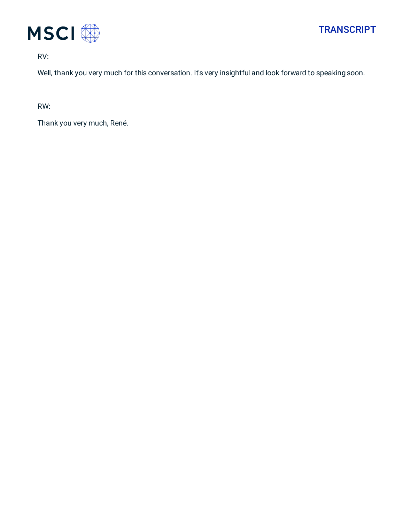

RV:

Well, thank you very much for this conversation. It's very insightful and look forward to speaking soon.

RW:

Thank you very much, René.